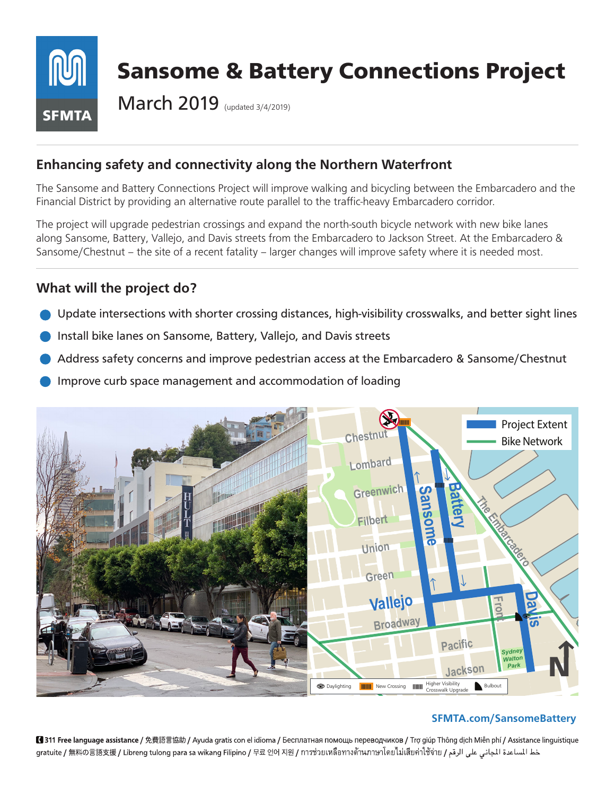

# **Enhancing safety and connectivity along the Northern Waterfront**

The Sansome and Battery Connections Project will improve walking and bicycling between the Embarcadero and the Financial District by providing an alternative route parallel to the traffic-heavy Embarcadero corridor.

The project will upgrade pedestrian crossings and expand the north-south bicycle network with new bike lanes along Sansome, Battery, Vallejo, and Davis streets from the Embarcadero to Jackson Street. At the Embarcadero & Sansome/Chestnut – the site of a recent fatality – larger changes will improve safety where it is needed most.

### **What will the project do?**

- Update intersections with shorter crossing distances, high-visibility crosswalks, and better sight lines
- Install bike lanes on Sansome, Battery, Vallejo, and Davis streets
- Address safety concerns and improve pedestrian access at the Embarcadero & Sansome/Chestnut
- Improve curb space management and accommodation of loading



#### **SFMTA.com/SansomeBattery**

■ 311 Free language assistance / 免費語言協助 / Ayuda gratis con el idioma / Бесплатная помощь переводчиков / Trợ giúp Thông dịch Miễn phí / Assistance linguistique gratuite / 無料の言語支援 / Libreng tulong para sa wikang Filipino / 무료 언어 지원 / การช่วยเหลือทางด้านภาษาโดยไม่เสียค่าใช้จ่าย / عط المساعدة الحاني على الرقم / gratuite / 無料の言語支援 / Libreng tulong para sa wikang Filipino / 무료 언어 지원